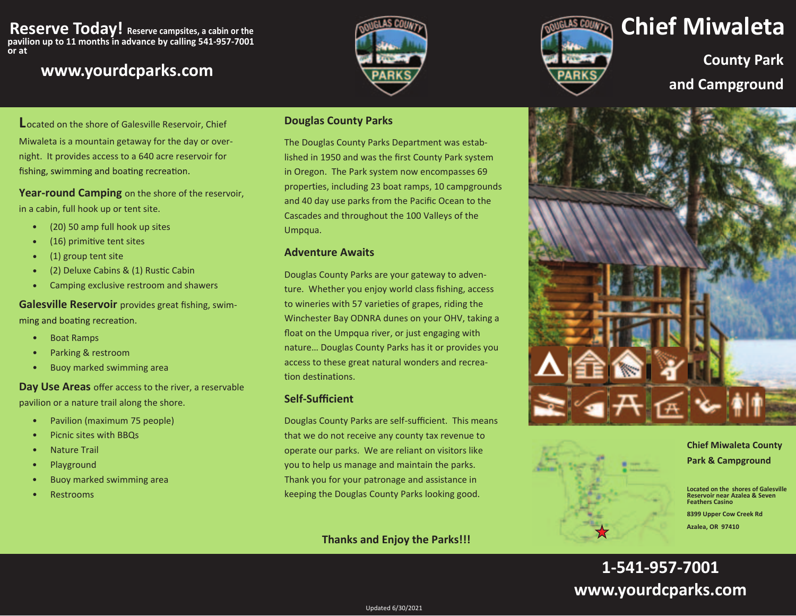#### **Reserve Today! Reserve campsites, a cabin or the pavilion up to 11 months in advance by calling 541-957-7001 or at**

## **www.yourdcparks.com**





# **Chief Miwaleta**

**County Park and Campground**

**L**ocated on the shore of Galesville Reservoir, Chief Miwaleta is a mountain getaway for the day or overnight. It provides access to a 640 acre reservoir for fishing, swimming and boating recreation.

**Year-round Camping** on the shore of the reservoir, in a cabin, full hook up or tent site.

- •(20) 50 amp full hook up sites
- (16) primitive tent sites •
- (1) group tent site •
- (2) Deluxe Cabins & (1) Rustic Cabin •
- Camping exclusive restroom and shawers •

**Galesville Reservoir** provides great fishing, swimming and boating recreation.

- •Boat Ramps
- •Parking & restroom
- •Buoy marked swimming area

**Day Use Areas** offer access to the river, a reservable pavilion or a nature trail along the shore.

- •Pavilion (maximum 75 people)
- •Picnic sites with BBQs
- •Nature Trail
- •Playground
- •Buoy marked swimming area
- •Restrooms

#### **Douglas County Parks**

The Douglas County Parks Department was established in 1950 and was the first County Park system properties, including 23 boat ramps, 10 campgrounds n Oregon. The Park system now encompasses 69 and 40 day use parks from the Pacific Ocean to the Cascades and throughout the 100 Valleys of the Umpqua. i

#### **Adventure Awaits**

Douglas County Parks are your gateway to adventure. Whether you enjoy world class fishing, access to wineries with 57 varieties of grapes, riding the Winchester Bay ODNRA dunes on your OHV, taking a float on the Umpqua river, or just engaging with nature… Douglas County Parks has it or provides you access to these great natural wonders and recreation destinations.

#### $Self-Sufficient$

Douglas County Parks are self-sufficient. This means that we do not receive any county tax revenue to operate our parks. We are reliant on visitors like you to help us manage and maintain the parks. Thank you for your patronage and assistance in keeping the Douglas County Parks looking good.

#### **Thanks and Enjoy the Parks!!!**



### **Chief Miwaleta County**

**Park & Campground** 

**Located on the shores of GalesvilleReservoir near Azalea & Seven Feathers Casino** 

**8399 Upper Cow Creek Rd Azalea, OR 97410** 

## **1-541-957-7001www.yourdcparks.com**

Updated 6/30/2021